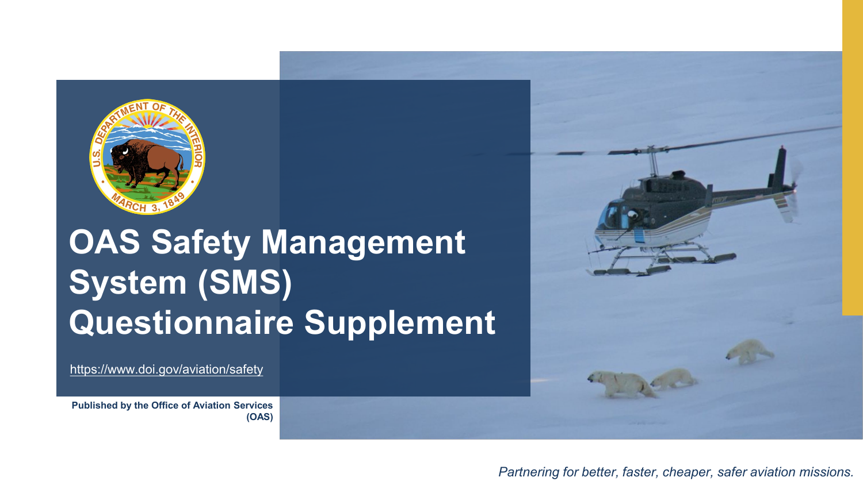

## **OAS Safety Management System (SMS) Questionnaire Supplement**

<https://www.doi.gov/aviation/safety>

**Published by the Office of Aviation Services (OAS)**



*Partnering for better, faster, cheaper, safer aviation missions.*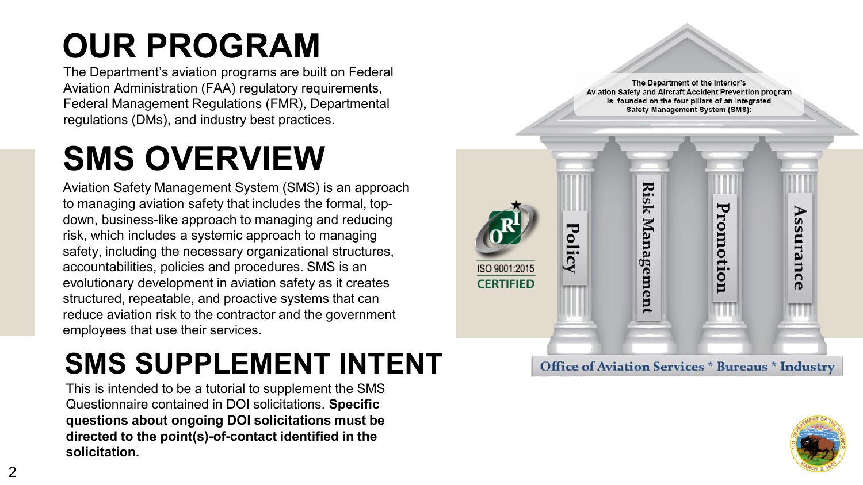# **OUR PROGRAM**

The Department's aviation programs are built on Federal Aviation Administration (FAA) regulatory requirements, Federal Management Regulations (FMR), Departmental regulations (DMs), and industry best practices.

# **SMS OVERVIEW**

Aviation Safety Management System (SMS) is an approach to managing aviation safety that includes the formal, topdown, business-like approach to managing and reducing risk, which includes a systemic approach to managing safety, including the necessary organizational structures, accountabilities, policies and procedures. SMS is an evolutionary development in aviation safety as it creates structured, repeatable, and proactive systems that can reduce aviation risk to the contractor and the government employees that use their services.

### **SMS SUPPLEMENT INTENT**

This is intended to be a tutorial to supplement the SMS Questionnaire contained in DOI solicitations. **Specific questions about ongoing DOI solicitations must be directed to the point(s)-of-contact identified in the solicitation.**



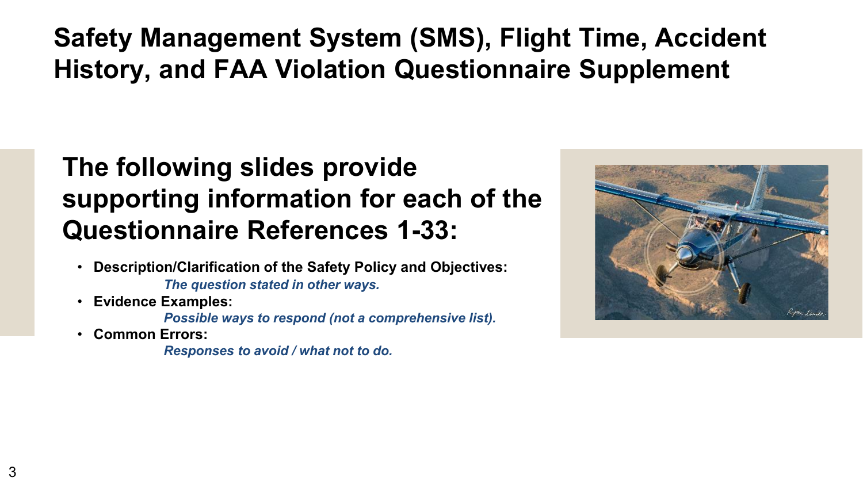**Safety Management System (SMS), Flight Time, Accident History, and FAA Violation Questionnaire Supplement**

#### **The following slides provide supporting information for each of the Questionnaire References 1-33:**

- **Description/Clarification of the Safety Policy and Objectives:** *The question stated in other ways.*
- **Evidence Examples:**

*Possible ways to respond (not a comprehensive list).*

• **Common Errors:**

*Responses to avoid / what not to do.*

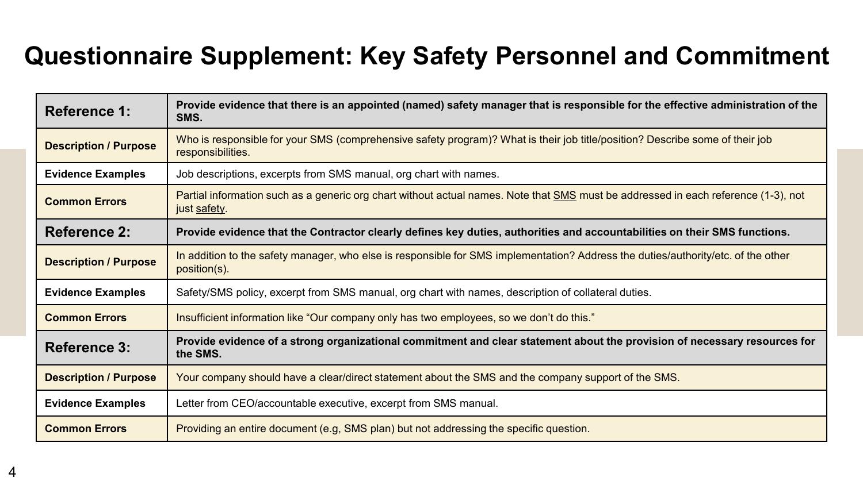#### **Questionnaire Supplement: Key Safety Personnel and Commitment**

| <b>Reference 1:</b>          | Provide evidence that there is an appointed (named) safety manager that is responsible for the effective administration of the<br>SMS.               |
|------------------------------|------------------------------------------------------------------------------------------------------------------------------------------------------|
| <b>Description / Purpose</b> | Who is responsible for your SMS (comprehensive safety program)? What is their job title/position? Describe some of their job<br>responsibilities.    |
| <b>Evidence Examples</b>     | Job descriptions, excerpts from SMS manual, org chart with names.                                                                                    |
| <b>Common Errors</b>         | Partial information such as a generic org chart without actual names. Note that SMS must be addressed in each reference (1-3), not<br>just safety.   |
| <b>Reference 2:</b>          | Provide evidence that the Contractor clearly defines key duties, authorities and accountabilities on their SMS functions.                            |
| <b>Description / Purpose</b> | In addition to the safety manager, who else is responsible for SMS implementation? Address the duties/authority/etc. of the other<br>$position(s)$ . |
| <b>Evidence Examples</b>     | Safety/SMS policy, excerpt from SMS manual, org chart with names, description of collateral duties.                                                  |
| <b>Common Errors</b>         | Insufficient information like "Our company only has two employees, so we don't do this."                                                             |
| <b>Reference 3:</b>          | Provide evidence of a strong organizational commitment and clear statement about the provision of necessary resources for<br>the SMS.                |
| <b>Description / Purpose</b> | Your company should have a clear/direct statement about the SMS and the company support of the SMS.                                                  |
| <b>Evidence Examples</b>     | Letter from CEO/accountable executive, excerpt from SMS manual.                                                                                      |
| <b>Common Errors</b>         | Providing an entire document (e.g. SMS plan) but not addressing the specific question.                                                               |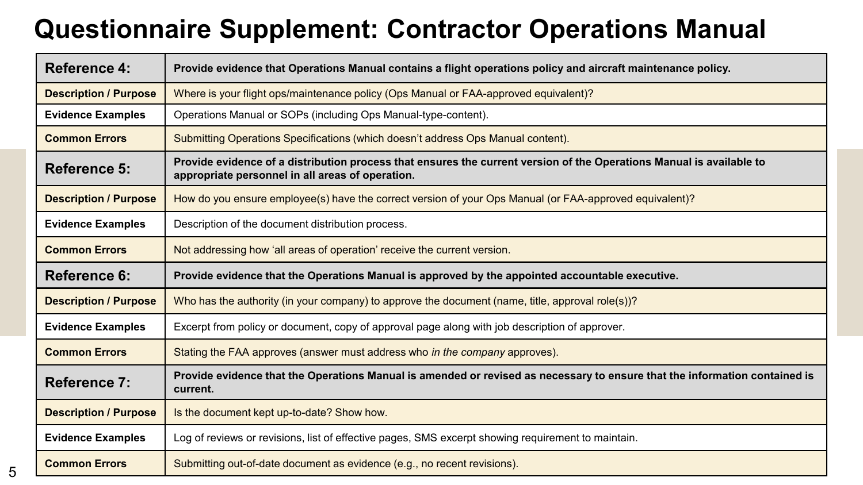### **Questionnaire Supplement: Contractor Operations Manual**

| <b>Reference 4:</b>          | Provide evidence that Operations Manual contains a flight operations policy and aircraft maintenance policy.                                                             |
|------------------------------|--------------------------------------------------------------------------------------------------------------------------------------------------------------------------|
| <b>Description / Purpose</b> | Where is your flight ops/maintenance policy (Ops Manual or FAA-approved equivalent)?                                                                                     |
| <b>Evidence Examples</b>     | Operations Manual or SOPs (including Ops Manual-type-content).                                                                                                           |
| <b>Common Errors</b>         | Submitting Operations Specifications (which doesn't address Ops Manual content).                                                                                         |
| <b>Reference 5:</b>          | Provide evidence of a distribution process that ensures the current version of the Operations Manual is available to<br>appropriate personnel in all areas of operation. |
| <b>Description / Purpose</b> | How do you ensure employee(s) have the correct version of your Ops Manual (or FAA-approved equivalent)?                                                                  |
| <b>Evidence Examples</b>     | Description of the document distribution process.                                                                                                                        |
| <b>Common Errors</b>         | Not addressing how 'all areas of operation' receive the current version.                                                                                                 |
|                              |                                                                                                                                                                          |
| <b>Reference 6:</b>          | Provide evidence that the Operations Manual is approved by the appointed accountable executive.                                                                          |
| <b>Description / Purpose</b> | Who has the authority (in your company) to approve the document (name, title, approval role(s))?                                                                         |
| <b>Evidence Examples</b>     | Excerpt from policy or document, copy of approval page along with job description of approver.                                                                           |
| <b>Common Errors</b>         | Stating the FAA approves (answer must address who in the company approves).                                                                                              |
| <b>Reference 7:</b>          | Provide evidence that the Operations Manual is amended or revised as necessary to ensure that the information contained is<br>current.                                   |
| <b>Description / Purpose</b> | Is the document kept up-to-date? Show how.                                                                                                                               |
| <b>Evidence Examples</b>     | Log of reviews or revisions, list of effective pages, SMS excerpt showing requirement to maintain.                                                                       |

5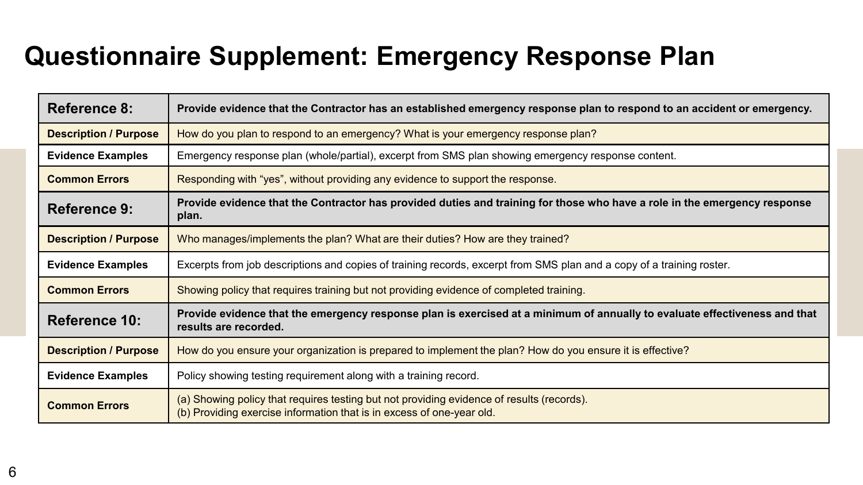#### **Questionnaire Supplement: Emergency Response Plan**

| <b>Reference 8:</b>          | Provide evidence that the Contractor has an established emergency response plan to respond to an accident or emergency.                                            |
|------------------------------|--------------------------------------------------------------------------------------------------------------------------------------------------------------------|
| <b>Description / Purpose</b> | How do you plan to respond to an emergency? What is your emergency response plan?                                                                                  |
| <b>Evidence Examples</b>     | Emergency response plan (whole/partial), excerpt from SMS plan showing emergency response content.                                                                 |
| <b>Common Errors</b>         | Responding with "yes", without providing any evidence to support the response.                                                                                     |
| <b>Reference 9:</b>          | Provide evidence that the Contractor has provided duties and training for those who have a role in the emergency response<br>plan.                                 |
| <b>Description / Purpose</b> | Who manages/implements the plan? What are their duties? How are they trained?                                                                                      |
| <b>Evidence Examples</b>     | Excerpts from job descriptions and copies of training records, excerpt from SMS plan and a copy of a training roster.                                              |
| <b>Common Errors</b>         | Showing policy that requires training but not providing evidence of completed training.                                                                            |
| <b>Reference 10:</b>         | Provide evidence that the emergency response plan is exercised at a minimum of annually to evaluate effectiveness and that<br>results are recorded.                |
| <b>Description / Purpose</b> | How do you ensure your organization is prepared to implement the plan? How do you ensure it is effective?                                                          |
| <b>Evidence Examples</b>     | Policy showing testing requirement along with a training record.                                                                                                   |
| <b>Common Errors</b>         | (a) Showing policy that requires testing but not providing evidence of results (records).<br>(b) Providing exercise information that is in excess of one-year old. |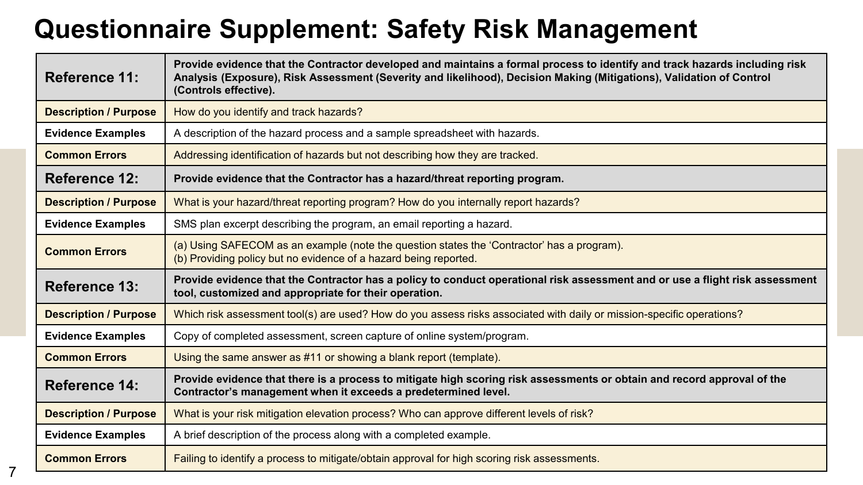### **Questionnaire Supplement: Safety Risk Management**

| <b>Reference 11:</b>         | Provide evidence that the Contractor developed and maintains a formal process to identify and track hazards including risk<br>Analysis (Exposure), Risk Assessment (Severity and likelihood), Decision Making (Mitigations), Validation of Control<br>(Controls effective). |
|------------------------------|-----------------------------------------------------------------------------------------------------------------------------------------------------------------------------------------------------------------------------------------------------------------------------|
| <b>Description / Purpose</b> | How do you identify and track hazards?                                                                                                                                                                                                                                      |
| <b>Evidence Examples</b>     | A description of the hazard process and a sample spreadsheet with hazards.                                                                                                                                                                                                  |
| <b>Common Errors</b>         | Addressing identification of hazards but not describing how they are tracked.                                                                                                                                                                                               |
| <b>Reference 12:</b>         | Provide evidence that the Contractor has a hazard/threat reporting program.                                                                                                                                                                                                 |
| <b>Description / Purpose</b> | What is your hazard/threat reporting program? How do you internally report hazards?                                                                                                                                                                                         |
| <b>Evidence Examples</b>     | SMS plan excerpt describing the program, an email reporting a hazard.                                                                                                                                                                                                       |
| <b>Common Errors</b>         | (a) Using SAFECOM as an example (note the question states the 'Contractor' has a program).<br>(b) Providing policy but no evidence of a hazard being reported.                                                                                                              |
| Reference 13:                | Provide evidence that the Contractor has a policy to conduct operational risk assessment and or use a flight risk assessment<br>tool, customized and appropriate for their operation.                                                                                       |
| <b>Description / Purpose</b> | Which risk assessment tool(s) are used? How do you assess risks associated with daily or mission-specific operations?                                                                                                                                                       |
| <b>Evidence Examples</b>     | Copy of completed assessment, screen capture of online system/program.                                                                                                                                                                                                      |
| <b>Common Errors</b>         | Using the same answer as #11 or showing a blank report (template).                                                                                                                                                                                                          |
| Reference 14:                | Provide evidence that there is a process to mitigate high scoring risk assessments or obtain and record approval of the<br>Contractor's management when it exceeds a predetermined level.                                                                                   |
| <b>Description / Purpose</b> | What is your risk mitigation elevation process? Who can approve different levels of risk?                                                                                                                                                                                   |
| <b>Evidence Examples</b>     | A brief description of the process along with a completed example.                                                                                                                                                                                                          |
| <b>Common Errors</b>         | Failing to identify a process to mitigate/obtain approval for high scoring risk assessments.                                                                                                                                                                                |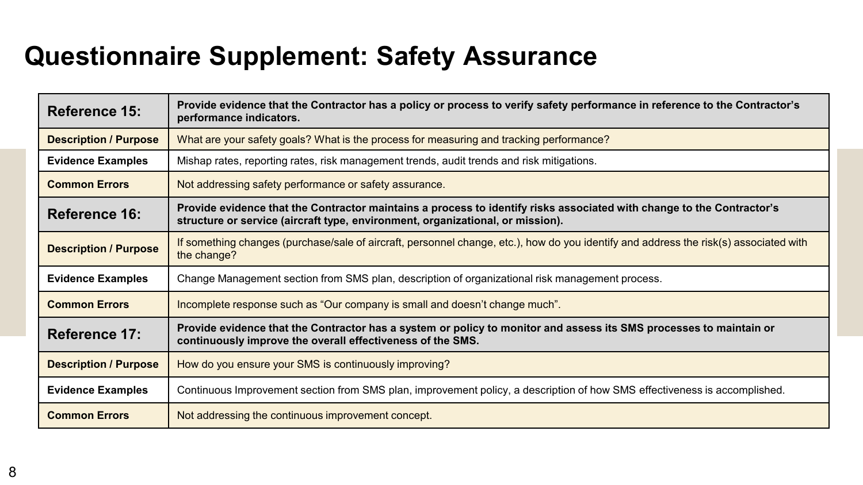#### **Questionnaire Supplement: Safety Assurance**

| Reference 15:                | Provide evidence that the Contractor has a policy or process to verify safety performance in reference to the Contractor's<br>performance indicators.                                                   |
|------------------------------|---------------------------------------------------------------------------------------------------------------------------------------------------------------------------------------------------------|
| <b>Description / Purpose</b> | What are your safety goals? What is the process for measuring and tracking performance?                                                                                                                 |
| <b>Evidence Examples</b>     | Mishap rates, reporting rates, risk management trends, audit trends and risk mitigations.                                                                                                               |
| <b>Common Errors</b>         | Not addressing safety performance or safety assurance.                                                                                                                                                  |
| <b>Reference 16:</b>         | Provide evidence that the Contractor maintains a process to identify risks associated with change to the Contractor's<br>structure or service (aircraft type, environment, organizational, or mission). |
| <b>Description / Purpose</b> | If something changes (purchase/sale of aircraft, personnel change, etc.), how do you identify and address the risk(s) associated with<br>the change?                                                    |
| <b>Evidence Examples</b>     | Change Management section from SMS plan, description of organizational risk management process.                                                                                                         |
| <b>Common Errors</b>         | Incomplete response such as "Our company is small and doesn't change much".                                                                                                                             |
| Reference 17:                | Provide evidence that the Contractor has a system or policy to monitor and assess its SMS processes to maintain or<br>continuously improve the overall effectiveness of the SMS.                        |
| <b>Description / Purpose</b> | How do you ensure your SMS is continuously improving?                                                                                                                                                   |
| <b>Evidence Examples</b>     | Continuous Improvement section from SMS plan, improvement policy, a description of how SMS effectiveness is accomplished.                                                                               |
| <b>Common Errors</b>         | Not addressing the continuous improvement concept.                                                                                                                                                      |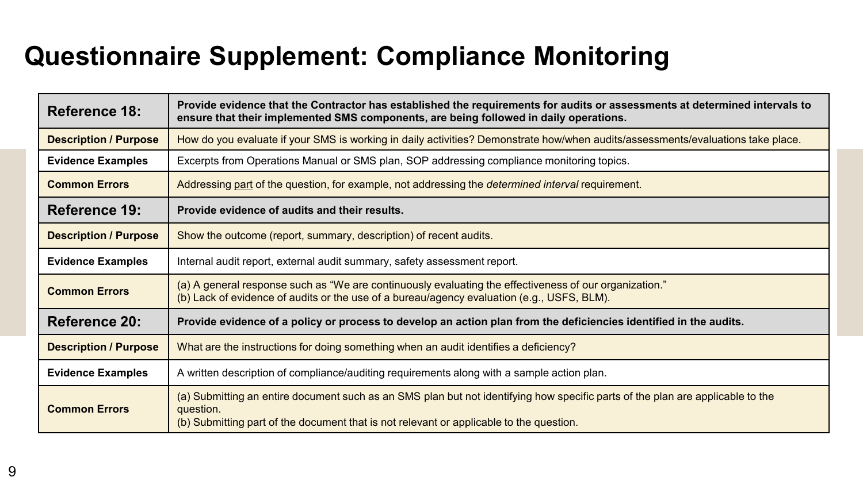#### **Questionnaire Supplement: Compliance Monitoring**

| <b>Reference 18:</b>         | Provide evidence that the Contractor has established the requirements for audits or assessments at determined intervals to<br>ensure that their implemented SMS components, are being followed in daily operations.                    |
|------------------------------|----------------------------------------------------------------------------------------------------------------------------------------------------------------------------------------------------------------------------------------|
| <b>Description / Purpose</b> | How do you evaluate if your SMS is working in daily activities? Demonstrate how/when audits/assessments/evaluations take place.                                                                                                        |
| <b>Evidence Examples</b>     | Excerpts from Operations Manual or SMS plan, SOP addressing compliance monitoring topics.                                                                                                                                              |
| <b>Common Errors</b>         | Addressing part of the question, for example, not addressing the <i>determined interval</i> requirement.                                                                                                                               |
| <b>Reference 19:</b>         | Provide evidence of audits and their results.                                                                                                                                                                                          |
| <b>Description / Purpose</b> | Show the outcome (report, summary, description) of recent audits.                                                                                                                                                                      |
| <b>Evidence Examples</b>     | Internal audit report, external audit summary, safety assessment report.                                                                                                                                                               |
| <b>Common Errors</b>         | (a) A general response such as "We are continuously evaluating the effectiveness of our organization."<br>(b) Lack of evidence of audits or the use of a bureau/agency evaluation (e.g., USFS, BLM).                                   |
| <b>Reference 20:</b>         | Provide evidence of a policy or process to develop an action plan from the deficiencies identified in the audits.                                                                                                                      |
| <b>Description / Purpose</b> | What are the instructions for doing something when an audit identifies a deficiency?                                                                                                                                                   |
| <b>Evidence Examples</b>     | A written description of compliance/auditing requirements along with a sample action plan.                                                                                                                                             |
| <b>Common Errors</b>         | (a) Submitting an entire document such as an SMS plan but not identifying how specific parts of the plan are applicable to the<br>question.<br>(b) Submitting part of the document that is not relevant or applicable to the question. |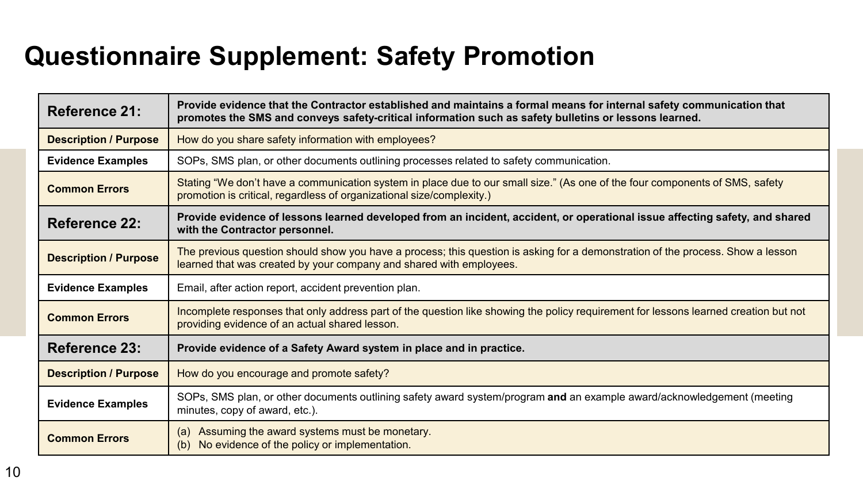#### **Questionnaire Supplement: Safety Promotion**

| <b>Reference 21:</b>         | Provide evidence that the Contractor established and maintains a formal means for internal safety communication that<br>promotes the SMS and conveys safety-critical information such as safety bulletins or lessons learned. |
|------------------------------|-------------------------------------------------------------------------------------------------------------------------------------------------------------------------------------------------------------------------------|
| <b>Description / Purpose</b> | How do you share safety information with employees?                                                                                                                                                                           |
| <b>Evidence Examples</b>     | SOPs, SMS plan, or other documents outlining processes related to safety communication.                                                                                                                                       |
| <b>Common Errors</b>         | Stating "We don't have a communication system in place due to our small size." (As one of the four components of SMS, safety<br>promotion is critical, regardless of organizational size/complexity.)                         |
| <b>Reference 22:</b>         | Provide evidence of lessons learned developed from an incident, accident, or operational issue affecting safety, and shared<br>with the Contractor personnel.                                                                 |
| <b>Description / Purpose</b> | The previous question should show you have a process; this question is asking for a demonstration of the process. Show a lesson<br>learned that was created by your company and shared with employees.                        |
| <b>Evidence Examples</b>     | Email, after action report, accident prevention plan.                                                                                                                                                                         |
| <b>Common Errors</b>         | Incomplete responses that only address part of the question like showing the policy requirement for lessons learned creation but not<br>providing evidence of an actual shared lesson.                                        |
| <b>Reference 23:</b>         | Provide evidence of a Safety Award system in place and in practice.                                                                                                                                                           |
| <b>Description / Purpose</b> | How do you encourage and promote safety?                                                                                                                                                                                      |
| <b>Evidence Examples</b>     | SOPs, SMS plan, or other documents outlining safety award system/program and an example award/acknowledgement (meeting<br>minutes, copy of award, etc.).                                                                      |
| <b>Common Errors</b>         | Assuming the award systems must be monetary.<br>(a)<br>No evidence of the policy or implementation.<br>(b)                                                                                                                    |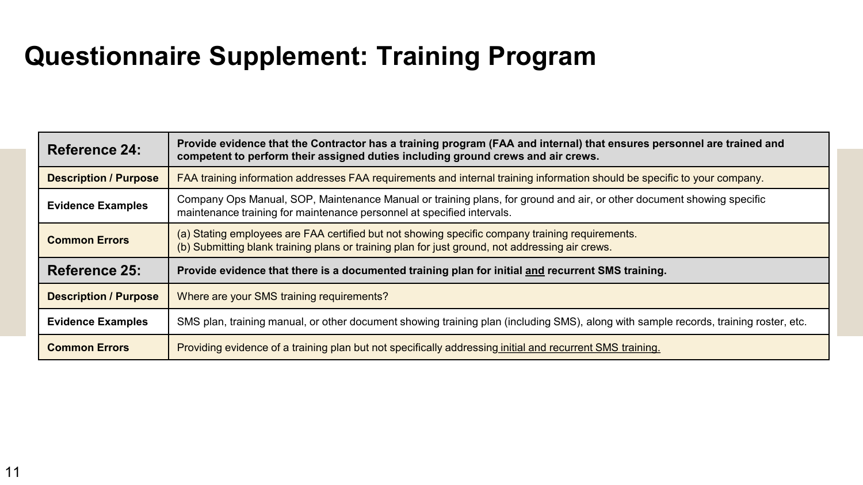#### **Questionnaire Supplement: Training Program**

| <b>Reference 24:</b>         | Provide evidence that the Contractor has a training program (FAA and internal) that ensures personnel are trained and<br>competent to perform their assigned duties including ground crews and air crews. |
|------------------------------|-----------------------------------------------------------------------------------------------------------------------------------------------------------------------------------------------------------|
| <b>Description / Purpose</b> | FAA training information addresses FAA requirements and internal training information should be specific to your company.                                                                                 |
| <b>Evidence Examples</b>     | Company Ops Manual, SOP, Maintenance Manual or training plans, for ground and air, or other document showing specific<br>maintenance training for maintenance personnel at specified intervals.           |
| <b>Common Errors</b>         | (a) Stating employees are FAA certified but not showing specific company training requirements.<br>(b) Submitting blank training plans or training plan for just ground, not addressing air crews.        |
| <b>Reference 25:</b>         | Provide evidence that there is a documented training plan for initial and recurrent SMS training.                                                                                                         |
| <b>Description / Purpose</b> | Where are your SMS training requirements?                                                                                                                                                                 |
| <b>Evidence Examples</b>     | SMS plan, training manual, or other document showing training plan (including SMS), along with sample records, training roster, etc.                                                                      |
| <b>Common Errors</b>         | Providing evidence of a training plan but not specifically addressing initial and recurrent SMS training.                                                                                                 |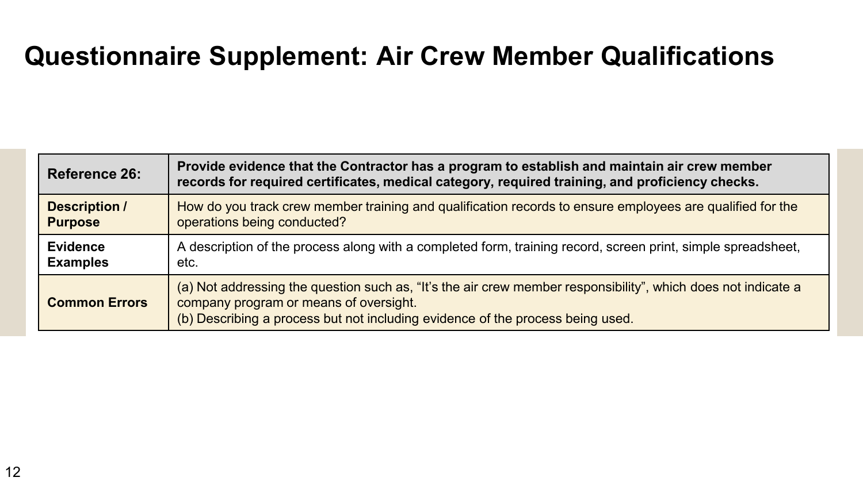#### **Questionnaire Supplement: Air Crew Member Qualifications**

| <b>Reference 26:</b> | Provide evidence that the Contractor has a program to establish and maintain air crew member<br>records for required certificates, medical category, required training, and proficiency checks.                                           |
|----------------------|-------------------------------------------------------------------------------------------------------------------------------------------------------------------------------------------------------------------------------------------|
| <b>Description /</b> | How do you track crew member training and qualification records to ensure employees are qualified for the                                                                                                                                 |
| <b>Purpose</b>       | operations being conducted?                                                                                                                                                                                                               |
| <b>Evidence</b>      | A description of the process along with a completed form, training record, screen print, simple spreadsheet,                                                                                                                              |
| <b>Examples</b>      | etc.                                                                                                                                                                                                                                      |
| <b>Common Errors</b> | (a) Not addressing the question such as, "It's the air crew member responsibility", which does not indicate a<br>company program or means of oversight.<br>(b) Describing a process but not including evidence of the process being used. |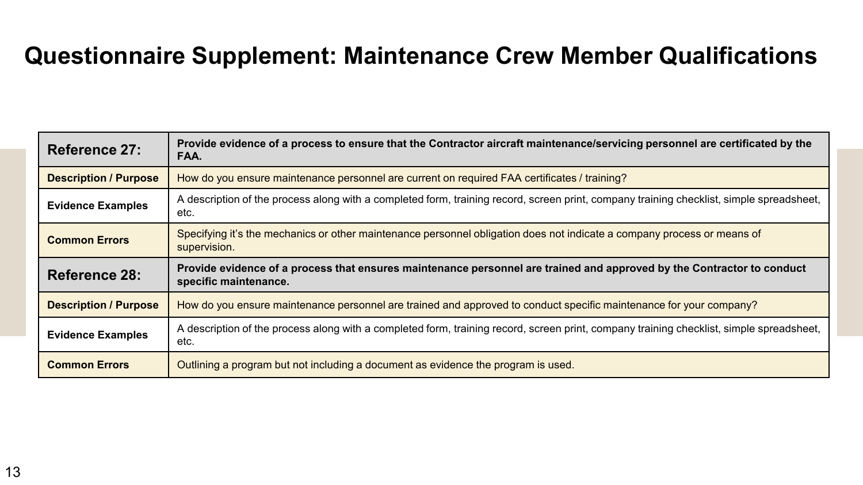#### **Questionnaire Supplement: Maintenance Crew Member Qualifications**

| Reference 27:                | Provide evidence of a process to ensure that the Contractor aircraft maintenance/servicing personnel are certificated by the<br>FAA.             |
|------------------------------|--------------------------------------------------------------------------------------------------------------------------------------------------|
| <b>Description / Purpose</b> | How do you ensure maintenance personnel are current on required FAA certificates / training?                                                     |
| <b>Evidence Examples</b>     | A description of the process along with a completed form, training record, screen print, company training checklist, simple spreadsheet,<br>etc. |
| <b>Common Errors</b>         | Specifying it's the mechanics or other maintenance personnel obligation does not indicate a company process or means of<br>supervision.          |
| <b>Reference 28:</b>         | Provide evidence of a process that ensures maintenance personnel are trained and approved by the Contractor to conduct<br>specific maintenance.  |
| <b>Description / Purpose</b> | How do you ensure maintenance personnel are trained and approved to conduct specific maintenance for your company?                               |
| <b>Evidence Examples</b>     | A description of the process along with a completed form, training record, screen print, company training checklist, simple spreadsheet,<br>etc. |
| <b>Common Errors</b>         | Outlining a program but not including a document as evidence the program is used.                                                                |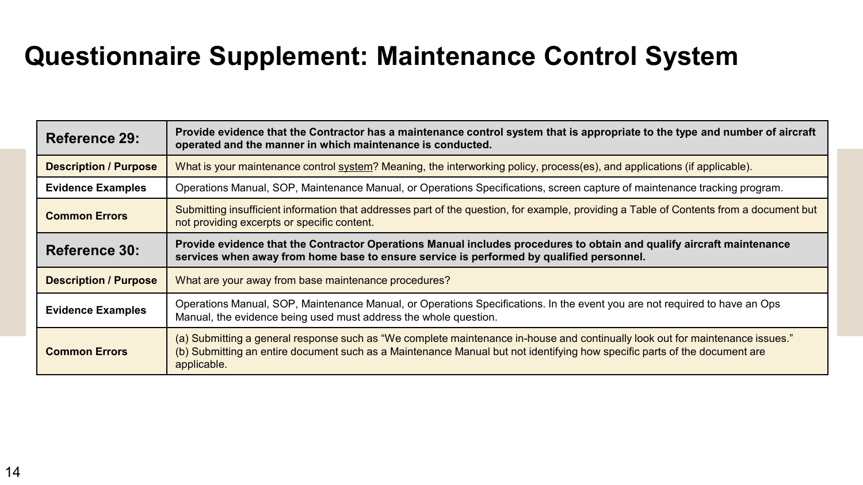#### **Questionnaire Supplement: Maintenance Control System**

| Reference 29:                | Provide evidence that the Contractor has a maintenance control system that is appropriate to the type and number of aircraft<br>operated and the manner in which maintenance is conducted.                                                                                |
|------------------------------|---------------------------------------------------------------------------------------------------------------------------------------------------------------------------------------------------------------------------------------------------------------------------|
| <b>Description / Purpose</b> | What is your maintenance control system? Meaning, the interworking policy, process(es), and applications (if applicable).                                                                                                                                                 |
| <b>Evidence Examples</b>     | Operations Manual, SOP, Maintenance Manual, or Operations Specifications, screen capture of maintenance tracking program.                                                                                                                                                 |
| <b>Common Errors</b>         | Submitting insufficient information that addresses part of the question, for example, providing a Table of Contents from a document but<br>not providing excerpts or specific content.                                                                                    |
| <b>Reference 30:</b>         | Provide evidence that the Contractor Operations Manual includes procedures to obtain and qualify aircraft maintenance<br>services when away from home base to ensure service is performed by qualified personnel.                                                         |
| <b>Description / Purpose</b> | What are your away from base maintenance procedures?                                                                                                                                                                                                                      |
| <b>Evidence Examples</b>     | Operations Manual, SOP, Maintenance Manual, or Operations Specifications. In the event you are not required to have an Ops<br>Manual, the evidence being used must address the whole question.                                                                            |
| <b>Common Errors</b>         | (a) Submitting a general response such as "We complete maintenance in-house and continually look out for maintenance issues."<br>(b) Submitting an entire document such as a Maintenance Manual but not identifying how specific parts of the document are<br>applicable. |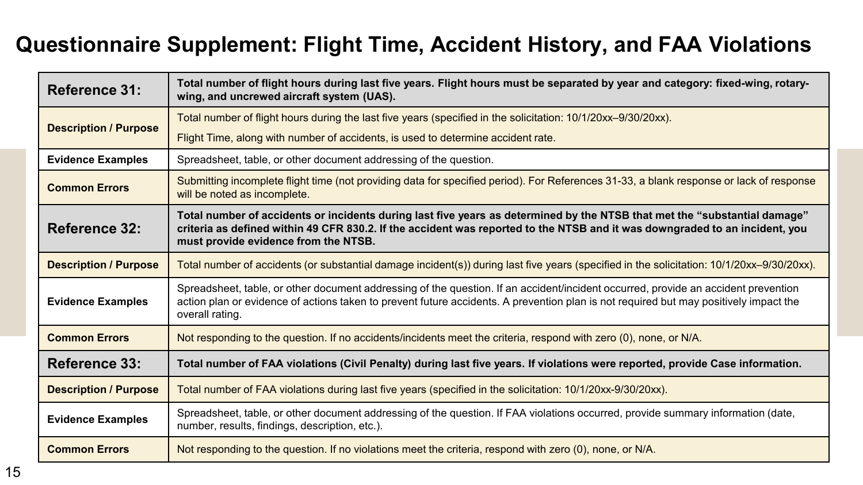#### **Questionnaire Supplement: Flight Time, Accident History, and FAA Violations**

| Reference 31:                | Total number of flight hours during last five years. Flight hours must be separated by year and category: fixed-wing, rotary-<br>wing, and uncrewed aircraft system (UAS).                                                                                                                       |
|------------------------------|--------------------------------------------------------------------------------------------------------------------------------------------------------------------------------------------------------------------------------------------------------------------------------------------------|
|                              | Total number of flight hours during the last five years (specified in the solicitation: 10/1/20xx-9/30/20xx).                                                                                                                                                                                    |
| <b>Description / Purpose</b> | Flight Time, along with number of accidents, is used to determine accident rate.                                                                                                                                                                                                                 |
| <b>Evidence Examples</b>     | Spreadsheet, table, or other document addressing of the question.                                                                                                                                                                                                                                |
| <b>Common Errors</b>         | Submitting incomplete flight time (not providing data for specified period). For References 31-33, a blank response or lack of response<br>will be noted as incomplete.                                                                                                                          |
| Reference 32:                | Total number of accidents or incidents during last five years as determined by the NTSB that met the "substantial damage"<br>criteria as defined within 49 CFR 830.2. If the accident was reported to the NTSB and it was downgraded to an incident, you<br>must provide evidence from the NTSB. |
| <b>Description / Purpose</b> | Total number of accidents (or substantial damage incident(s)) during last five years (specified in the solicitation: 10/1/20xx-9/30/20xx).                                                                                                                                                       |
| <b>Evidence Examples</b>     | Spreadsheet, table, or other document addressing of the question. If an accident/incident occurred, provide an accident prevention<br>action plan or evidence of actions taken to prevent future accidents. A prevention plan is not required but may positively impact the<br>overall rating.   |
| <b>Common Errors</b>         | Not responding to the question. If no accidents/incidents meet the criteria, respond with zero (0), none, or N/A.                                                                                                                                                                                |
| <b>Reference 33:</b>         | Total number of FAA violations (Civil Penalty) during last five years. If violations were reported, provide Case information.                                                                                                                                                                    |
| <b>Description / Purpose</b> | Total number of FAA violations during last five years (specified in the solicitation: 10/1/20xx-9/30/20xx).                                                                                                                                                                                      |
| <b>Evidence Examples</b>     | Spreadsheet, table, or other document addressing of the question. If FAA violations occurred, provide summary information (date,<br>number, results, findings, description, etc.).                                                                                                               |
| <b>Common Errors</b>         | Not responding to the question. If no violations meet the criteria, respond with zero (0), none, or N/A.                                                                                                                                                                                         |